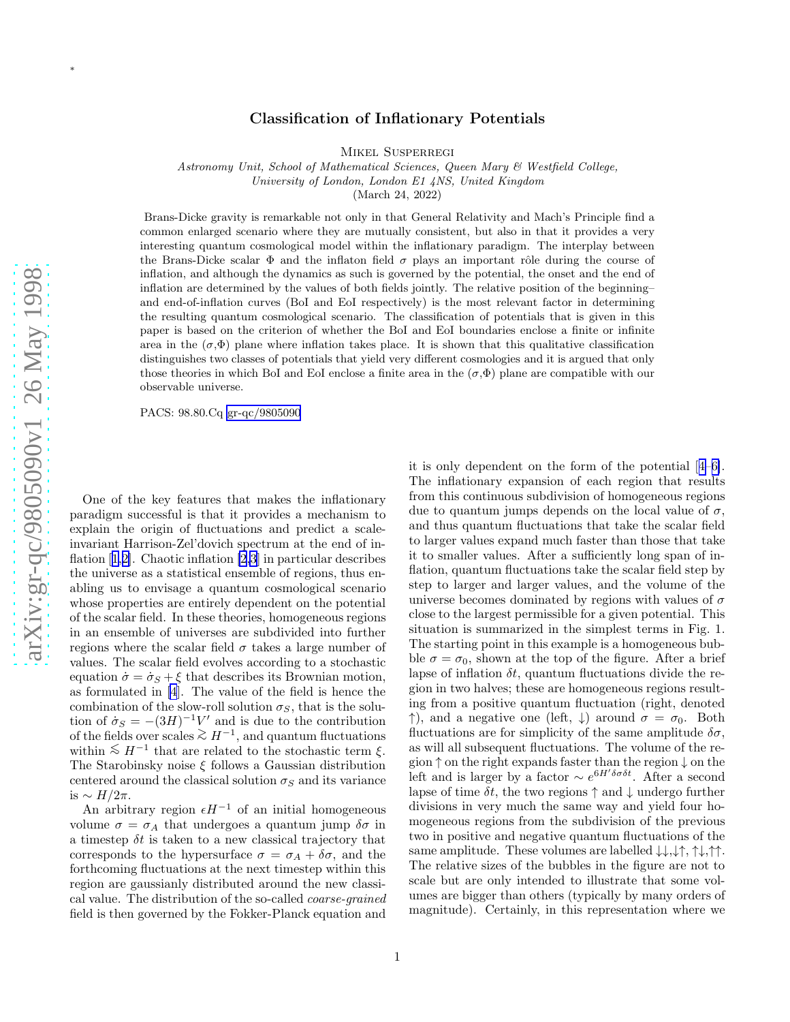∗

## Classification of Inflationary Potentials

Mikel Susperregi

Astronomy Unit, School of Mathematical Sciences, Queen Mary & Westfield College,

University of London, London E1 4NS, United Kingdom

(March 24, 2022)

Brans-Dicke gravity is remarkable not only in that General Relativity and Mach's Principle find a common enlarged scenario where they are mutually consistent, but also in that it provides a very interesting quantum cosmological model within the inflationary paradigm. The interplay between the Brans-Dicke scalar  $\Phi$  and the inflaton field  $\sigma$  plays an important rôle during the course of inflation, and although the dynamics as such is governed by the potential, the onset and the end of inflation are determined by the values of both fields jointly. The relative position of the beginning– and end-of-inflation curves (BoI and EoI respectively) is the most relevant factor in determining the resulting quantum cosmological scenario. The classification of potentials that is given in this paper is based on the criterion of whether the BoI and EoI boundaries enclose a finite or infinite area in the  $(\sigma, \Phi)$  plane where inflation takes place. It is shown that this qualitative classification distinguishes two classes of potentials that yield very different cosmologies and it is argued that only those theories in which BoI and EoI enclose a finite area in the  $(\sigma, \Phi)$  plane are compatible with our observable universe.

PACS: 98.80.Cq [gr-qc/9805090](http://arxiv.org/abs/gr-qc/9805090)

One of the key features that makes the inflationary paradigm successful is that it provides a mechanism to explain the origin of fluctuations and predict a scaleinvariant Harrison-Zel'dovich spectrum at the end of inflation[[1,2\]](#page-3-0). Chaotic inflation [\[2,3](#page-3-0)] in particular describes the universe as a statistical ensemble of regions, thus enabling us to envisage a quantum cosmological scenario whose properties are entirely dependent on the potential of the scalar field. In these theories, homogeneous regions in an ensemble of universes are subdivided into further regions where the scalar field  $\sigma$  takes a large number of values. The scalar field evolves according to a stochastic equation  $\dot{\sigma} = \dot{\sigma}_S + \xi$  that describes its Brownian motion, as formulated in [\[4](#page-3-0)]. The value of the field is hence the combination of the slow-roll solution  $\sigma_S$ , that is the solution of  $\sigma_S = -(3H)^{-1}V'$  and is due to the contribution of the fields over scales  $\geq H^{-1}$ , and quantum fluctuations within  $\lesssim H^{-1}$  that are related to the stochastic term  $\xi$ . The Starobinsky noise ξ follows a Gaussian distribution centered around the classical solution  $\sigma_S$  and its variance is  $\sim$  *H*/2π.

An arbitrary region  $\epsilon H^{-1}$  of an initial homogeneous volume  $\sigma = \sigma_A$  that undergoes a quantum jump  $\delta \sigma$  in a timestep  $\delta t$  is taken to a new classical trajectory that corresponds to the hypersurface  $\sigma = \sigma_A + \delta \sigma$ , and the forthcoming fluctuations at the next timestep within this region are gaussianly distributed around the new classical value. The distribution of the so-called coarse-grained field is then governed by the Fokker-Planck equation and

it is only dependent on the form of the potential[[4–6\]](#page-3-0). The inflationary expansion of each region that results from this continuous subdivision of homogeneous regions due to quantum jumps depends on the local value of  $\sigma$ , and thus quantum fluctuations that take the scalar field to larger values expand much faster than those that take it to smaller values. After a sufficiently long span of inflation, quantum fluctuations take the scalar field step by step to larger and larger values, and the volume of the universe becomes dominated by regions with values of  $\sigma$ close to the largest permissible for a given potential. This situation is summarized in the simplest terms in Fig. 1. The starting point in this example is a homogeneous bubble  $\sigma = \sigma_0$ , shown at the top of the figure. After a brief lapse of inflation  $\delta t$ , quantum fluctuations divide the region in two halves; these are homogeneous regions resulting from a positive quantum fluctuation (right, denoted  $\uparrow$ ), and a negative one (left,  $\downarrow$ ) around  $\sigma = \sigma_0$ . Both fluctuations are for simplicity of the same amplitude  $\delta\sigma$ , as will all subsequent fluctuations. The volume of the region ↑ on the right expands faster than the region ↓ on the left and is larger by a factor  $\sim e^{6H'\delta\sigma\delta t}$ . After a second lapse of time  $\delta t$ , the two regions  $\uparrow$  and  $\downarrow$  undergo further divisions in very much the same way and yield four homogeneous regions from the subdivision of the previous two in positive and negative quantum fluctuations of the same amplitude. These volumes are labelled  $\downarrow\downarrow,\downarrow\uparrow,\uparrow\downarrow,\uparrow\uparrow$ . The relative sizes of the bubbles in the figure are not to scale but are only intended to illustrate that some volumes are bigger than others (typically by many orders of magnitude). Certainly, in this representation where we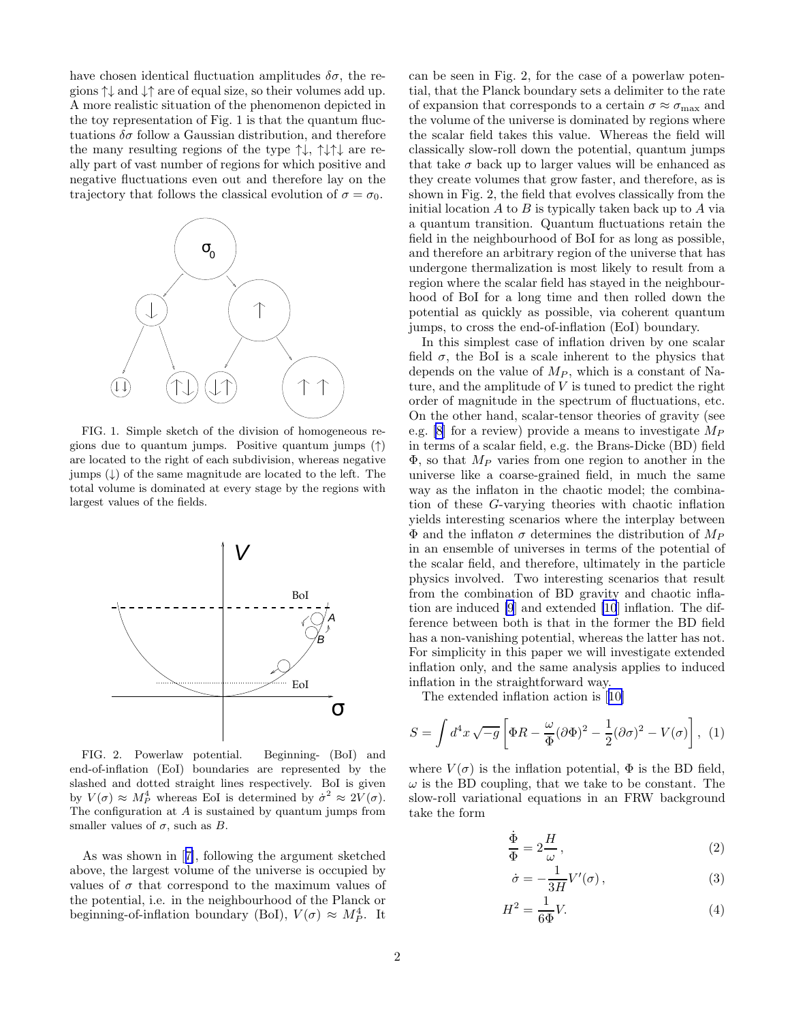<span id="page-1-0"></span>have chosen identical fluctuation amplitudes  $\delta\sigma$ , the regions ↑↓ and ↓↑ are of equal size, so their volumes add up. A more realistic situation of the phenomenon depicted in the toy representation of Fig. 1 is that the quantum fluctuations  $\delta\sigma$  follow a Gaussian distribution, and therefore the many resulting regions of the type ↑↓, ↑↓↑↓ are really part of vast number of regions for which positive and negative fluctuations even out and therefore lay on the trajectory that follows the classical evolution of  $\sigma = \sigma_0$ .



FIG. 1. Simple sketch of the division of homogeneous regions due to quantum jumps. Positive quantum jumps (↑) are located to the right of each subdivision, whereas negative jumps  $(\downarrow)$  of the same magnitude are located to the left. The total volume is dominated at every stage by the regions with largest values of the fields.



FIG. 2. Powerlaw potential. Beginning- (BoI) and end-of-inflation (EoI) boundaries are represented by the slashed and dotted straight lines respectively. BoI is given by  $V(\sigma) \approx M_P^4$  whereas EoI is determined by  $\dot{\sigma}^2 \approx 2V(\sigma)$ . The configuration at  $A$  is sustained by quantum jumps from smaller values of  $\sigma$ , such as B.

As was shown in[[7\]](#page-3-0), following the argument sketched above, the largest volume of the universe is occupied by values of  $\sigma$  that correspond to the maximum values of the potential, i.e. in the neighbourhood of the Planck or beginning-of-inflation boundary (BoI),  $V(\sigma) \approx M_P^4$ . It

can be seen in Fig. 2, for the case of a powerlaw potential, that the Planck boundary sets a delimiter to the rate of expansion that corresponds to a certain  $\sigma \approx \sigma_{\text{max}}$  and the volume of the universe is dominated by regions where the scalar field takes this value. Whereas the field will classically slow-roll down the potential, quantum jumps that take  $\sigma$  back up to larger values will be enhanced as they create volumes that grow faster, and therefore, as is shown in Fig. 2, the field that evolves classically from the initial location  $A$  to  $B$  is typically taken back up to  $A$  via a quantum transition. Quantum fluctuations retain the field in the neighbourhood of BoI for as long as possible, and therefore an arbitrary region of the universe that has undergone thermalization is most likely to result from a region where the scalar field has stayed in the neighbourhood of BoI for a long time and then rolled down the potential as quickly as possible, via coherent quantum jumps, to cross the end-of-inflation (EoI) boundary.

In this simplest case of inflation driven by one scalar field  $\sigma$ , the BoI is a scale inherent to the physics that depends on the value of  $M_P$ , which is a constant of Nature, and the amplitude of  $V$  is tuned to predict the right order of magnitude in the spectrum of fluctuations, etc. On the other hand, scalar-tensor theories of gravity (see e.g. [\[8](#page-3-0)] for a review) provide a means to investigate  $M_P$ in terms of a scalar field, e.g. the Brans-Dicke (BD) field  $\Phi$ , so that  $M_P$  varies from one region to another in the universe like a coarse-grained field, in much the same way as the inflaton in the chaotic model; the combination of these G-varying theories with chaotic inflation yields interesting scenarios where the interplay between  $\Phi$  and the inflaton  $\sigma$  determines the distribution of  $M_P$ in an ensemble of universes in terms of the potential of the scalar field, and therefore, ultimately in the particle physics involved. Two interesting scenarios that result from the combination of BD gravity and chaotic inflation are induced [\[9](#page-3-0)] and extended [\[10](#page-3-0)] inflation. The difference between both is that in the former the BD field has a non-vanishing potential, whereas the latter has not. For simplicity in this paper we will investigate extended inflation only, and the same analysis applies to induced inflation in the straightforward way.

The extended inflation action is[[10\]](#page-3-0)

$$
S = \int d^4x \sqrt{-g} \left[ \Phi R - \frac{\omega}{\Phi} (\partial \Phi)^2 - \frac{1}{2} (\partial \sigma)^2 - V(\sigma) \right], \tag{1}
$$

where  $V(\sigma)$  is the inflation potential,  $\Phi$  is the BD field,  $\omega$  is the BD coupling, that we take to be constant. The slow-roll variational equations in an FRW background take the form

$$
\frac{\dot{\Phi}}{\Phi} = 2\frac{H}{\omega},\tag{2}
$$

$$
\dot{\sigma} = -\frac{1}{3H}V'(\sigma) \,, \tag{3}
$$

$$
H^2 = \frac{1}{6\Phi}V.\t\t(4)
$$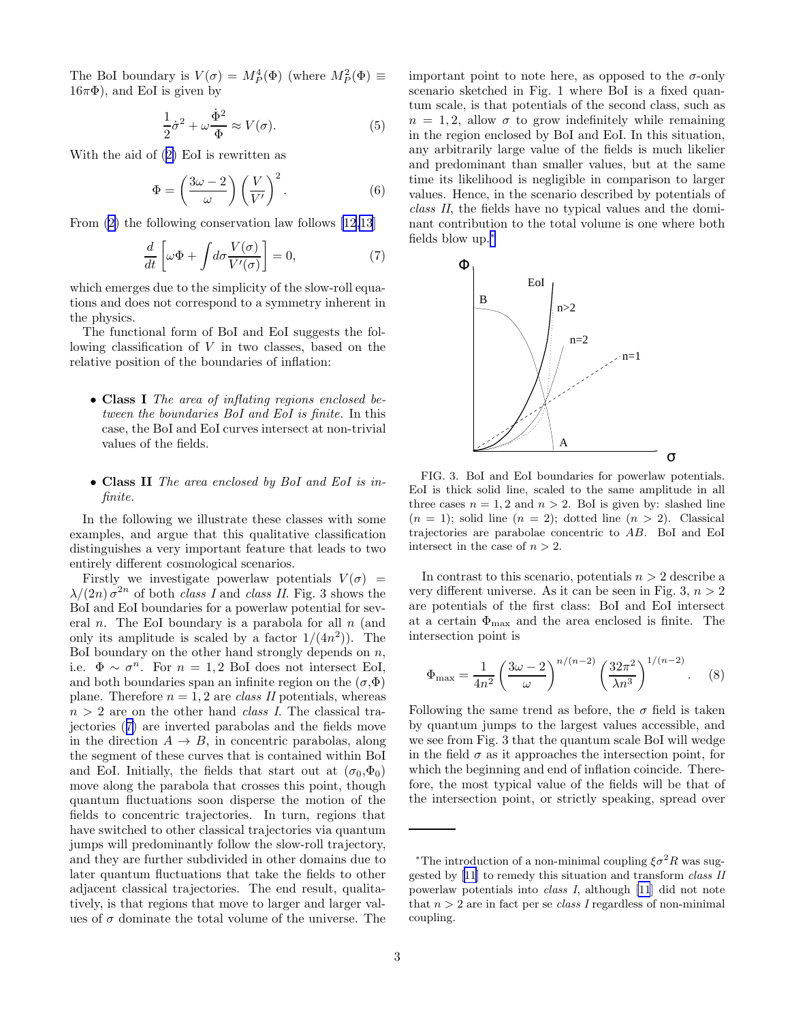The BoI boundary is  $V(\sigma) = M_P^4(\Phi)$  (where  $M_P^2(\Phi) \equiv$  $16\pi\Phi$ ), and EoI is given by

$$
\frac{1}{2}\dot{\sigma}^2 + \omega \frac{\dot{\Phi}^2}{\Phi} \approx V(\sigma). \tag{5}
$$

With the aid of([2\)](#page-1-0) EoI is rewritten as

$$
\Phi = \left(\frac{3\omega - 2}{\omega}\right) \left(\frac{V}{V'}\right)^2.
$$
\n(6)

From [\(2](#page-1-0)) the following conservation law follows [\[12,13](#page-3-0)]

$$
\frac{d}{dt}\left[\omega\Phi + \int d\sigma \frac{V(\sigma)}{V'(\sigma)}\right] = 0,\tag{7}
$$

which emerges due to the simplicity of the slow-roll equations and does not correspond to a symmetry inherent in the physics.

The functional form of BoI and EoI suggests the following classification of  $V$  in two classes, based on the relative position of the boundaries of inflation:

• Class I The area of inflating regions enclosed between the boundaries BoI and EoI is finite. In this case, the BoI and EoI curves intersect at non-trivial values of the fields.

## • Class II The area enclosed by BoI and EoI is infinite.

In the following we illustrate these classes with some examples, and argue that this qualitative classification distinguishes a very important feature that leads to two entirely different cosmological scenarios.

Firstly we investigate powerlaw potentials  $V(\sigma)$  =  $\lambda/(2n) \sigma^{2n}$  of both *class I* and *class II*. Fig. 3 shows the BoI and EoI boundaries for a powerlaw potential for several *n*. The EoI boundary is a parabola for all  $n$  (and only its amplitude is scaled by a factor  $1/(4n^2)$ ). The BoI boundary on the other hand strongly depends on  $n$ , i.e.  $\Phi \sim \sigma^n$ . For  $n = 1, 2$  BoI does not intersect EoI, and both boundaries span an infinite region on the  $(\sigma, \Phi)$ plane. Therefore  $n = 1, 2$  are *class II* potentials, whereas  $n > 2$  are on the other hand *class I*. The classical trajectories (7) are inverted parabolas and the fields move in the direction  $A \rightarrow B$ , in concentric parabolas, along the segment of these curves that is contained within BoI and EoI. Initially, the fields that start out at  $(\sigma_0, \Phi_0)$ move along the parabola that crosses this point, though quantum fluctuations soon disperse the motion of the fields to concentric trajectories. In turn, regions that have switched to other classical trajectories via quantum jumps will predominantly follow the slow-roll trajectory, and they are further subdivided in other domains due to later quantum fluctuations that take the fields to other adjacent classical trajectories. The end result, qualitatively, is that regions that move to larger and larger values of  $\sigma$  dominate the total volume of the universe. The important point to note here, as opposed to the  $\sigma$ -only scenario sketched in Fig. 1 where BoI is a fixed quantum scale, is that potentials of the second class, such as  $n = 1, 2$ , allow  $\sigma$  to grow indefinitely while remaining in the region enclosed by BoI and EoI. In this situation, any arbitrarily large value of the fields is much likelier and predominant than smaller values, but at the same time its likelihood is negligible in comparison to larger values. Hence, in the scenario described by potentials of class II, the fields have no typical values and the dominant contribution to the total volume is one where both fields blow up.<sup>∗</sup>



FIG. 3. BoI and EoI boundaries for powerlaw potentials. EoI is thick solid line, scaled to the same amplitude in all three cases  $n = 1, 2$  and  $n > 2$ . BoI is given by: slashed line  $(n = 1)$ ; solid line  $(n = 2)$ ; dotted line  $(n > 2)$ . Classical trajectories are parabolae concentric to AB. BoI and EoI intersect in the case of  $n > 2$ .

In contrast to this scenario, potentials  $n > 2$  describe a very different universe. As it can be seen in Fig. 3,  $n > 2$ are potentials of the first class: BoI and EoI intersect at a certain  $\Phi_{\text{max}}$  and the area enclosed is finite. The intersection point is

$$
\Phi_{\text{max}} = \frac{1}{4n^2} \left( \frac{3\omega - 2}{\omega} \right)^{n/(n-2)} \left( \frac{32\pi^2}{\lambda n^3} \right)^{1/(n-2)}.
$$
 (8)

Following the same trend as before, the  $\sigma$  field is taken by quantum jumps to the largest values accessible, and we see from Fig. 3 that the quantum scale BoI will wedge in the field  $\sigma$  as it approaches the intersection point, for which the beginning and end of inflation coincide. Therefore, the most typical value of the fields will be that of the intersection point, or strictly speaking, spread over

<sup>\*</sup>The introduction of a non-minimal coupling  $\xi \sigma^2 R$  was suggested by [\[11](#page-3-0)] to remedy this situation and transform class II powerlaw potentials into class I, although [\[11](#page-3-0)] did not note that  $n > 2$  are in fact per se *class I* regardless of non-minimal coupling.